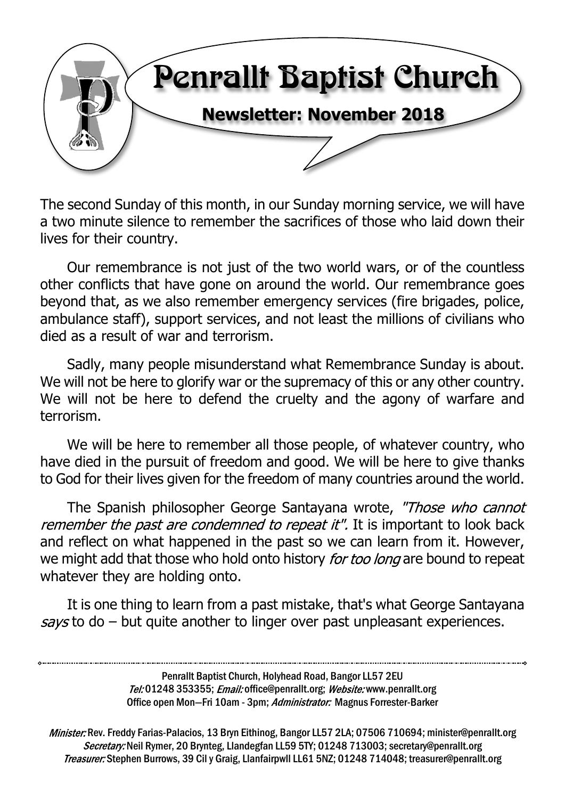

The second Sunday of this month, in our Sunday morning service, we will have a two minute silence to remember the sacrifices of those who laid down their lives for their country.

Our remembrance is not just of the two world wars, or of the countless other conflicts that have gone on around the world. Our remembrance goes beyond that, as we also remember emergency services (fire brigades, police, ambulance staff), support services, and not least the millions of civilians who died as a result of war and terrorism.

Sadly, many people misunderstand what Remembrance Sunday is about. We will not be here to glorify war or the supremacy of this or any other country. We will not be here to defend the cruelty and the agony of warfare and terrorism.

We will be here to remember all those people, of whatever country, who have died in the pursuit of freedom and good. We will be here to give thanks to God for their lives given for the freedom of many countries around the world.

The Spanish philosopher George Santayana wrote, "Those who cannot remember the past are condemned to repeat it". It is important to look back and reflect on what happened in the past so we can learn from it. However, we might add that those who hold onto history for too long are bound to repeat whatever they are holding onto.

It is one thing to learn from a past mistake, that's what George Santayana  $savs$  to do – but quite another to linger over past unpleasant experiences.

> Penrallt Baptist Church, Holyhead Road, Bangor LL57 2EU Tel:01248 353355; Email: office@penrallt.org; Website: www.penrallt.org Office open Mon-Fri 10am - 3pm; Administrator: Magnus Forrester-Barker

Minister: Rev. Freddy Farias-Palacios, 13 Bryn Eithinog, Bangor LL57 2LA; 07506 710694; minister@penrallt.org Secretary: Neil Rymer, 20 Brynteg, Llandegfan LL59 5TY; 01248 713003; secretary@penrallt.org Treasurer: Stephen Burrows, 39 Cil y Graig, Llanfairpwll LL61 5NZ; 01248 714048; treasurer@penrallt.org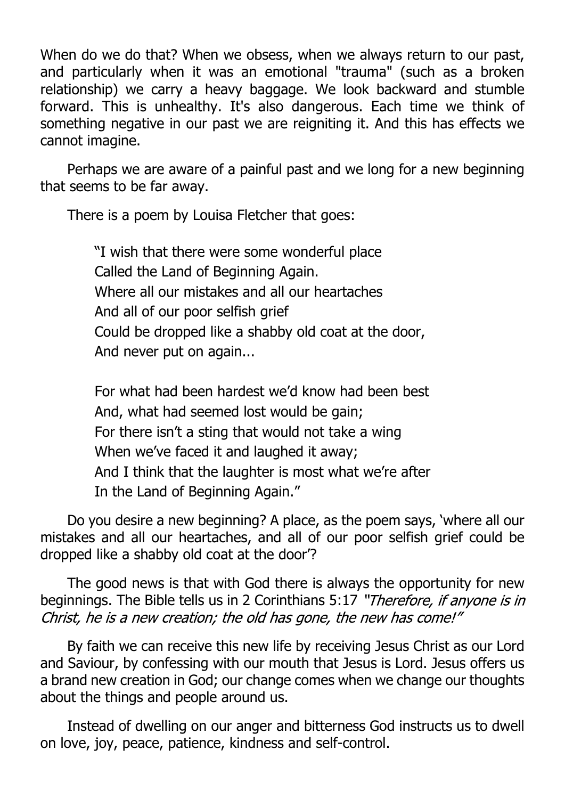When do we do that? When we obsess, when we always return to our past, and particularly when it was an emotional "trauma" (such as a broken relationship) we carry a heavy baggage. We look backward and stumble forward. This is unhealthy. It's also dangerous. Each time we think of something negative in our past we are reigniting it. And this has effects we cannot imagine.

Perhaps we are aware of a painful past and we long for a new beginning that seems to be far away.

There is a poem by Louisa Fletcher that goes:

"I wish that there were some wonderful place Called the Land of Beginning Again. Where all our mistakes and all our heartaches And all of our poor selfish grief Could be dropped like a shabby old coat at the door, And never put on again...

For what had been hardest we'd know had been best And, what had seemed lost would be gain; For there isn't a sting that would not take a wing When we've faced it and laughed it away; And I think that the laughter is most what we're after In the Land of Beginning Again."

Do you desire a new beginning? A place, as the poem says, 'where all our mistakes and all our heartaches, and all of our poor selfish grief could be dropped like a shabby old coat at the door'?

The good news is that with God there is always the opportunity for new beginnings. The Bible tells us in 2 Corinthians 5:17 "Therefore, if anyone is in Christ, he is a new creation; the old has gone, the new has come!"

By faith we can receive this new life by receiving Jesus Christ as our Lord and Saviour, by confessing with our mouth that Jesus is Lord. Jesus offers us a brand new creation in God; our change comes when we change our thoughts about the things and people around us.

Instead of dwelling on our anger and bitterness God instructs us to dwell on love, joy, peace, patience, kindness and self-control.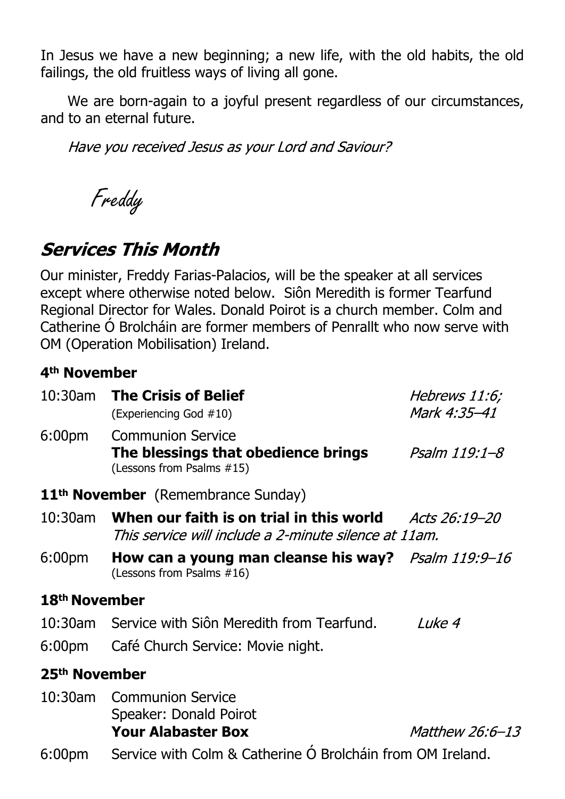In Jesus we have a new beginning; a new life, with the old habits, the old failings, the old fruitless ways of living all gone.

We are born-again to a joyful present regardless of our circumstances, and to an eternal future.

Have you received Jesus as your Lord and Saviour?

Freddy

# **Services This Month**

Our minister, Freddy Farias-Palacios, will be the speaker at all services except where otherwise noted below. Siôn Meredith is former Tearfund Regional Director for Wales. Donald Poirot is a church member. Colm and Catherine Ó Brolcháin are former members of Penrallt who now serve with OM (Operation Mobilisation) Ireland.

#### **4th November**

| 10:30am                                        | <b>The Crisis of Belief</b><br>(Experiencing God #10)                                                                    | Hebrews 11:6;<br>Mark 4:35-41 |  |  |  |  |
|------------------------------------------------|--------------------------------------------------------------------------------------------------------------------------|-------------------------------|--|--|--|--|
| 6:00pm                                         | <b>Communion Service</b><br>The blessings that obedience brings<br>(Lessons from Psalms #15)                             | Psalm 119:1–8                 |  |  |  |  |
| 11 <sup>th</sup> November (Remembrance Sunday) |                                                                                                                          |                               |  |  |  |  |
| 10:30am                                        | When our faith is on trial in this world $\qquad$ Acts 26:19–20<br>This service will include a 2-minute silence at 11am. |                               |  |  |  |  |
| 6:00pm                                         | How can a young man cleanse his way? <i>Psalm 119:9–16</i><br>(Lessons from Psalms #16)                                  |                               |  |  |  |  |
| 18 <sup>th</sup> November                      |                                                                                                                          |                               |  |  |  |  |
|                                                | 10:30am Service with Siôn Meredith from Tearfund.<br>6:00pm Café Church Service: Movie night.                            | Luke 4                        |  |  |  |  |
| 25 <sup>th</sup> November                      |                                                                                                                          |                               |  |  |  |  |
|                                                | 10:30am Communion Service<br>Speaker: Donald Poirot<br><b>Your Alabaster Box</b>                                         | Matthew 26:6-13               |  |  |  |  |
| 6:00pm                                         | Service with Colm & Catherine O Brolchain from OM Ireland.                                                               |                               |  |  |  |  |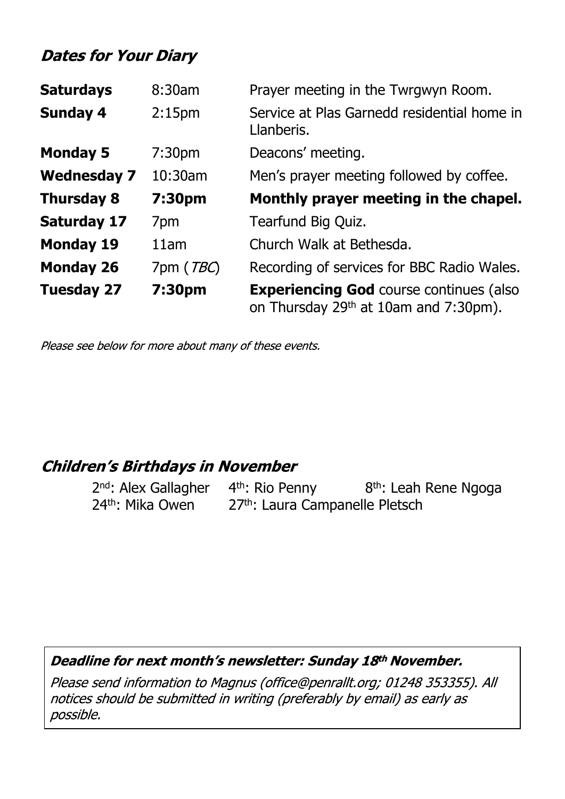### **Dates for Your Diary**

| <b>Saturdays</b>   | 8:30am             | Prayer meeting in the Twrgwyn Room.                                                                 |
|--------------------|--------------------|-----------------------------------------------------------------------------------------------------|
| <b>Sunday 4</b>    | 2:15 <sub>pm</sub> | Service at Plas Garnedd residential home in<br>Llanberis.                                           |
| <b>Monday 5</b>    | 7:30 <sub>pm</sub> | Deacons' meeting.                                                                                   |
| <b>Wednesday 7</b> | 10:30am            | Men's prayer meeting followed by coffee.                                                            |
| <b>Thursday 8</b>  | 7:30pm             | Monthly prayer meeting in the chapel.                                                               |
| <b>Saturday 17</b> | 7 <sub>pm</sub>    | Tearfund Big Quiz.                                                                                  |
| <b>Monday 19</b>   | 11am               | Church Walk at Bethesda.                                                                            |
| <b>Monday 26</b>   | 7pm ( <i>TBC</i> ) | Recording of services for BBC Radio Wales.                                                          |
| <b>Tuesday 27</b>  | 7:30pm             | <b>Experiencing God course continues (also</b><br>on Thursday 29 <sup>th</sup> at 10am and 7:30pm). |

Please see below for more about many of these events.

#### **Children's Birthdays in November**

2<sup>nd</sup>: Alex Gallagher 4<sup>th</sup>: Rio Penny 8<sup>th</sup>: Leah Rene Ngoga 24<sup>th</sup>: Mika Owen 27<sup>th</sup>: Laura Campanelle Pletsch

#### Deadline for next month's newsletter: Sunday 18th November.

Please send information to Magnus (office@penrallt.org; 01248 353355). All notices should be submitted in writing (preferably by email) as early as possible.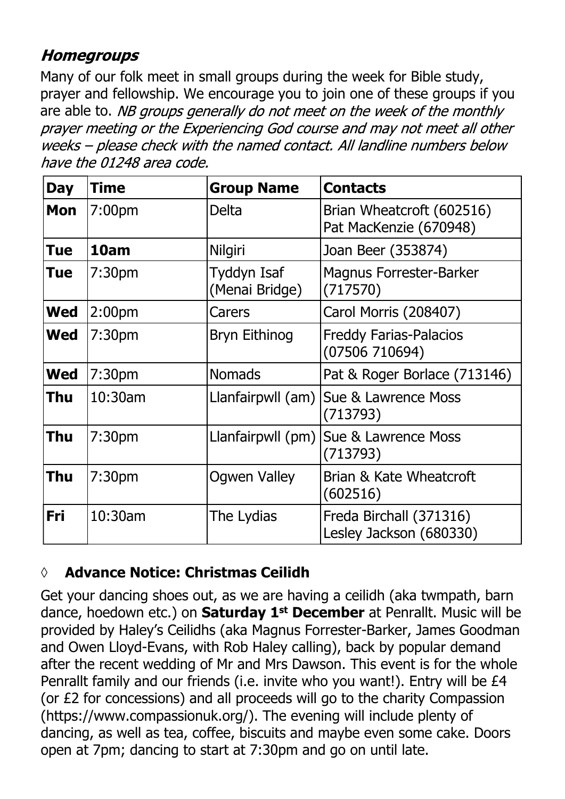### **Homegroups**

Many of our folk meet in small groups during the week for Bible study, prayer and fellowship. We encourage you to join one of these groups if you are able to. NB groups generally do not meet on the week of the monthly prayer meeting or the Experiencing God course and may not meet all other weeks - please check with the named contact. All landline numbers below have the 01248 area code.

| <b>Day</b> | <b>Time</b>        | <b>Group Name</b>             | <b>Contacts</b>                                     |
|------------|--------------------|-------------------------------|-----------------------------------------------------|
| <b>Mon</b> | 7:00 <sub>pm</sub> | Delta                         | Brian Wheatcroft (602516)<br>Pat MacKenzie (670948) |
| <b>Tue</b> | 10am               | <b>Nilgiri</b>                | Joan Beer (353874)                                  |
| <b>Tue</b> | 7:30 <sub>pm</sub> | Tyddyn Isaf<br>(Menai Bridge) | <b>Magnus Forrester-Barker</b><br>(717570)          |
| <b>Wed</b> | 2:00 <sub>pm</sub> | Carers                        | Carol Morris (208407)                               |
| <b>Wed</b> | 7:30 <sub>pm</sub> | <b>Bryn Eithinog</b>          | <b>Freddy Farias-Palacios</b><br>(07506710694)      |
| <b>Wed</b> | 7:30 <sub>pm</sub> | <b>Nomads</b>                 | Pat & Roger Borlace (713146)                        |
| <b>Thu</b> | 10:30am            | Llanfairpwll (am)             | Sue & Lawrence Moss<br>(713793)                     |
| <b>Thu</b> | 7:30 <sub>pm</sub> | Llanfairpwll (pm)             | Sue & Lawrence Moss<br>(713793)                     |
| <b>Thu</b> | 7:30 <sub>pm</sub> | <b>Ogwen Valley</b>           | Brian & Kate Wheatcroft<br>(602516)                 |
| <b>Fri</b> | 10:30am            | The Lydias                    | Freda Birchall (371316)<br>Lesley Jackson (680330)  |

#### **◊ Advance Notice: Christmas Ceilidh**

Get your dancing shoes out, as we are having a ceilidh (aka twmpath, barn dance, hoedown etc.) on **Saturday 1st December** at Penrallt. Music will be provided by Haley's Ceilidhs (aka Magnus Forrester-Barker, James Goodman and Owen Lloyd-Evans, with Rob Haley calling), back by popular demand after the recent wedding of Mr and Mrs Dawson. This event is for the whole Penrallt family and our friends (i.e. invite who you want!). Entry will be £4 (or £2 for concessions) and all proceeds will go to the charity Compassion (https://www.compassionuk.org/). The evening will include plenty of dancing, as well as tea, coffee, biscuits and maybe even some cake. Doors open at 7pm; dancing to start at 7:30pm and go on until late.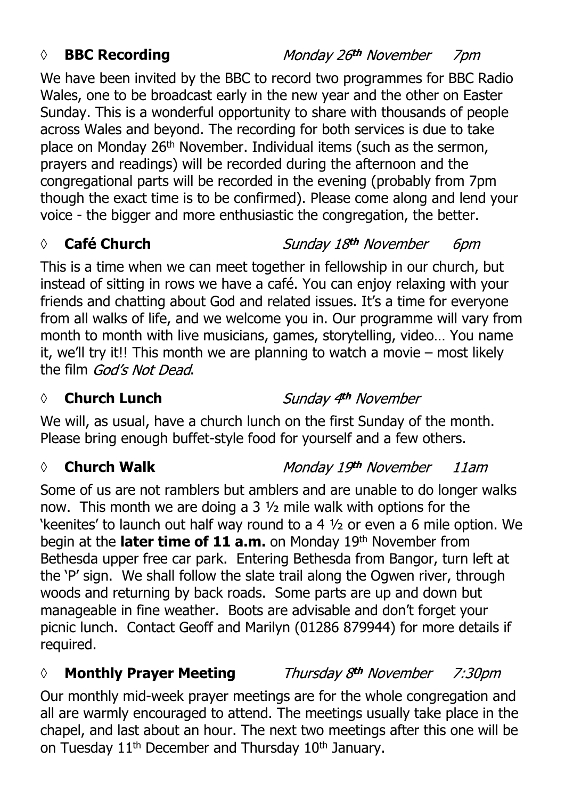#### *◊* **BBC Recording**

We have been invited by the BBC to record two programmes for BBC Radio Wales, one to be broadcast early in the new year and the other on Easter Sunday. This is a wonderful opportunity to share with thousands of people across Wales and beyond. The recording for both services is due to take place on Monday 26th November. Individual items (such as the sermon, prayers and readings) will be recorded during the afternoon and the congregational parts will be recorded in the evening (probably from 7pm though the exact time is to be confirmed). Please come along and lend your voice - the bigger and more enthusiastic the congregation, the better.

#### *◊* **Café Church**

This is a time when we can meet together in fellowship in our church, but instead of sitting in rows we have a café. You can enjoy relaxing with your friends and chatting about God and related issues. It's a time for everyone from all walks of life, and we welcome you in. Our programme will vary from month to month with live musicians, games, storytelling, video… You name it, we'll try it!! This month we are planning to watch a movie – most likely the film God's Not Dead.

#### **◊ Church Lunch**

We will, as usual, have a church lunch on the first Sunday of the month. Please bring enough buffet-style food for yourself and a few others.

#### *◊* **Church Walk**

Some of us are not ramblers but amblers and are unable to do longer walks now. This month we are doing a 3 ½ mile walk with options for the 'keenites' to launch out half way round to a 4 ½ or even a 6 mile option. We begin at the **later time of 11 a.m.** on Monday 19th November from Bethesda upper free car park. Entering Bethesda from Bangor, turn left at the 'P' sign. We shall follow the slate trail along the Ogwen river, through woods and returning by back roads. Some parts are up and down but manageable in fine weather. Boots are advisable and don't forget your picnic lunch. Contact Geoff and Marilyn (01286 879944) for more details if required.

#### *◊* **Monthly Prayer Meeting** Thursday 8th November  $7:30$ pm

Our monthly mid-week prayer meetings are for the whole congregation and all are warmly encouraged to attend. The meetings usually take place in the chapel, and last about an hour. The next two meetings after this one will be on Tuesday 11<sup>th</sup> December and Thursday 10<sup>th</sup> January.

#### Monday 26th November

Sunday 18th November *6pm* 

#### Monday 19th November  $11am$

Sunday 4th November

# 7pm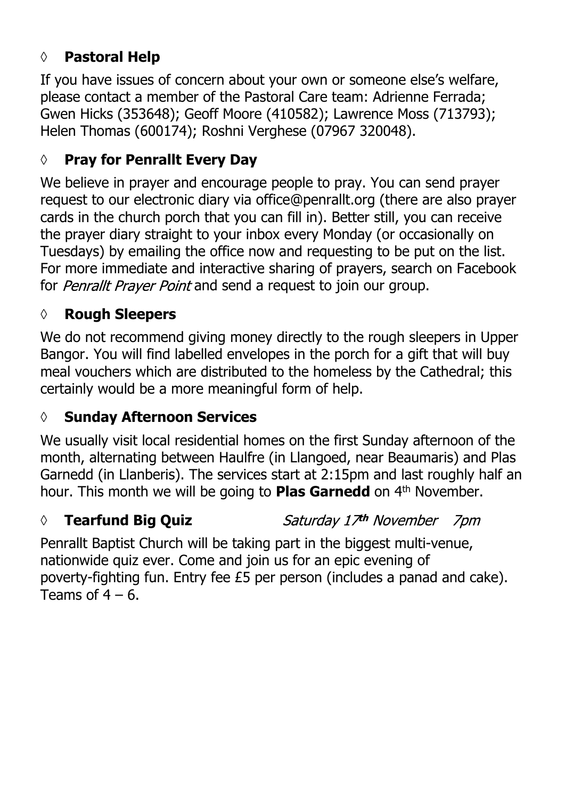## **◊ Pastoral Help**

If you have issues of concern about your own or someone else's welfare, please contact a member of the Pastoral Care team: Adrienne Ferrada; Gwen Hicks (353648); Geoff Moore (410582); Lawrence Moss (713793); Helen Thomas (600174); Roshni Verghese (07967 320048).

### **◊ Pray for Penrallt Every Day**

We believe in prayer and encourage people to pray. You can send prayer request to our electronic diary via office@penrallt.org (there are also prayer cards in the church porch that you can fill in). Better still, you can receive the prayer diary straight to your inbox every Monday (or occasionally on Tuesdays) by emailing the office now and requesting to be put on the list. For more immediate and interactive sharing of prayers, search on Facebook for *Penrallt Prayer Point* and send a request to join our group.

#### **◊ Rough Sleepers**

We do not recommend giving money directly to the rough sleepers in Upper Bangor. You will find labelled envelopes in the porch for a gift that will buy meal vouchers which are distributed to the homeless by the Cathedral; this certainly would be a more meaningful form of help.

#### **◊ Sunday Afternoon Services**

We usually visit local residential homes on the first Sunday afternoon of the month, alternating between Haulfre (in Llangoed, near Beaumaris) and Plas Garnedd (in Llanberis). The services start at 2:15pm and last roughly half an hour. This month we will be going to **Plas Garnedd** on 4<sup>th</sup> November.

### *◊* **Tearfund Big Quiz**

Saturday 17th November 7pm

Penrallt Baptist Church will be taking part in the biggest multi-venue, nationwide quiz ever. Come and join us for an epic evening of poverty-fighting fun. Entry fee £5 per person (includes a panad and cake). Teams of  $4 - 6$ .